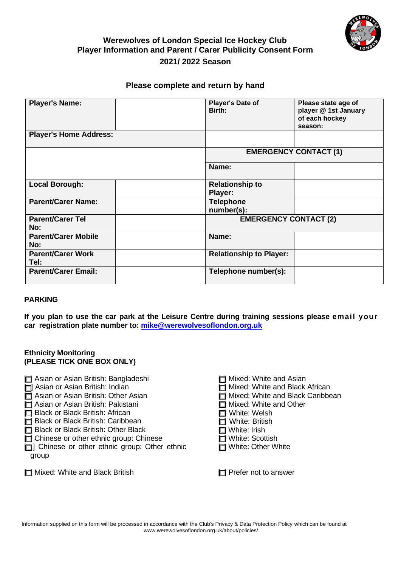

# **Werewolves of London Special Ice Hockey Club Player Information and Parent / Carer Publicity Consent Form 2021/ 2022 Season**

# **Please complete and return by hand**

| <b>Player's Name:</b>             | Player's Date of<br>Birth:        | Please state age of<br>player @ 1st January<br>of each hockey |  |
|-----------------------------------|-----------------------------------|---------------------------------------------------------------|--|
|                                   |                                   | season:                                                       |  |
| <b>Player's Home Address:</b>     |                                   |                                                               |  |
|                                   |                                   | <b>EMERGENCY CONTACT (1)</b>                                  |  |
|                                   | Name:                             |                                                               |  |
| <b>Local Borough:</b>             | <b>Relationship to</b><br>Player: |                                                               |  |
| <b>Parent/Carer Name:</b>         | <b>Telephone</b><br>number(s):    |                                                               |  |
| <b>Parent/Carer Tel</b><br>No:    |                                   | <b>EMERGENCY CONTACT (2)</b>                                  |  |
| <b>Parent/Carer Mobile</b><br>No: | Name:                             |                                                               |  |
| <b>Parent/Carer Work</b><br>Tel:  | <b>Relationship to Player:</b>    |                                                               |  |
| <b>Parent/Carer Email:</b>        | Telephone number(s):              |                                                               |  |

### **PARKING**

**If you plan to use the car park at the Leisure Centre during training sessions please email your car registration plate number to: [mike@werewolvesoflondon.org.uk](mailto:mike@werewolvesoflondon.org.uk)**

#### **Ethnicity Monitoring (PLEASE TICK ONE BOX ONLY)**

- **1** Asian or Asian British: Bangladeshi
- □ Asian or Asian British: Indian
- **□** Asian or Asian British: Other Asian
- **d** Asian or Asian British: Pakistani
- **Black or Black British: African**
- **Black or Black British: Caribbean**
- **Black or Black British: Other Black**
- **T** Chinese or other ethnic group: Chinese
- [ ] Chinese or other ethnic group: Other ethnic group

□ Mixed: White and Black British in the same in the Second Prefer not to answer

- □ Mixed: White and Asian
- □ Mixed: White and Black African
- **T** Mixed: White and Black Caribbean
- □ Mixed: White and Other
- □ White: Welsh
- □ White: British
- **□** White: Irish
- □ White: Scottish
- □ White: Other White

 $\Box$  Prefer not to answer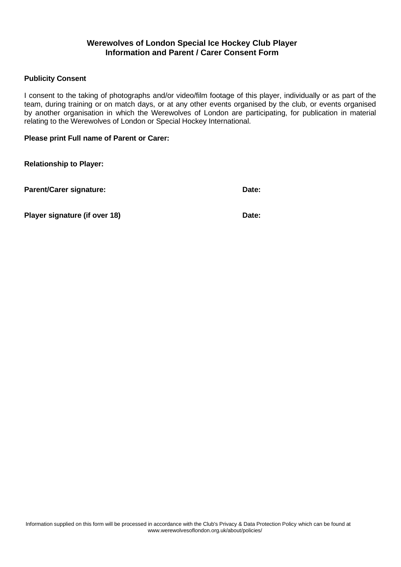# **Werewolves of London Special Ice Hockey Club Player Information and Parent / Carer Consent Form**

### **Publicity Consent**

I consent to the taking of photographs and/or video/film footage of this player, individually or as part of the team, during training or on match days, or at any other events organised by the club, or events organised by another organisation in which the Werewolves of London are participating, for publication in material relating to the Werewolves of London or Special Hockey International.

# **Please print Full name of Parent or Carer:**

**Relationship to Player:**

**Parent/Carer signature: Date:**

**Player signature (if over 18) Date:**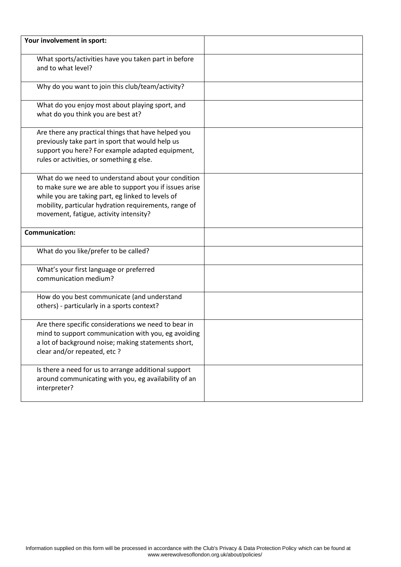| Your involvement in sport:                                                                                                                                                                                                                                            |  |
|-----------------------------------------------------------------------------------------------------------------------------------------------------------------------------------------------------------------------------------------------------------------------|--|
| What sports/activities have you taken part in before<br>and to what level?                                                                                                                                                                                            |  |
| Why do you want to join this club/team/activity?                                                                                                                                                                                                                      |  |
| What do you enjoy most about playing sport, and<br>what do you think you are best at?                                                                                                                                                                                 |  |
| Are there any practical things that have helped you<br>previously take part in sport that would help us<br>support you here? For example adapted equipment,<br>rules or activities, or something g else.                                                              |  |
| What do we need to understand about your condition<br>to make sure we are able to support you if issues arise<br>while you are taking part, eg linked to levels of<br>mobility, particular hydration requirements, range of<br>movement, fatigue, activity intensity? |  |
| <b>Communication:</b>                                                                                                                                                                                                                                                 |  |
| What do you like/prefer to be called?                                                                                                                                                                                                                                 |  |
| What's your first language or preferred<br>communication medium?                                                                                                                                                                                                      |  |
| How do you best communicate (and understand<br>others) - particularly in a sports context?                                                                                                                                                                            |  |
| Are there specific considerations we need to bear in<br>mind to support communication with you, eg avoiding<br>a lot of background noise; making statements short,<br>clear and/or repeated, etc?                                                                     |  |
| Is there a need for us to arrange additional support<br>around communicating with you, eg availability of an<br>interpreter?                                                                                                                                          |  |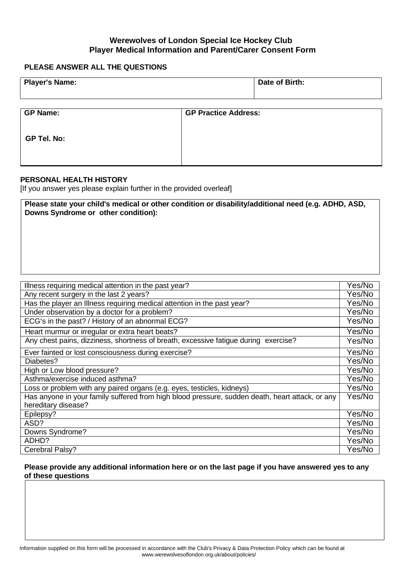# **Werewolves of London Special Ice Hockey Club Player Medical Information and Parent/Carer Consent Form**

### **PLEASE ANSWER ALL THE QUESTIONS**

| <b>Player's Name:</b> | Date of Birth: |
|-----------------------|----------------|
|                       |                |

| <b>GP Name:</b>    | <b>GP Practice Address:</b> |
|--------------------|-----------------------------|
| <b>GP Tel. No:</b> |                             |
|                    |                             |

#### **PERSONAL HEALTH HISTORY**

[If you answer yes please explain further in the provided overleaf]

**Please state your child's medical or other condition or disability/additional need (e.g. ADHD, ASD, Downs Syndrome or other condition):**

| Illness requiring medical attention in the past year?                                           | Yes/No |
|-------------------------------------------------------------------------------------------------|--------|
| Any recent surgery in the last 2 years?                                                         | Yes/No |
| Has the player an Illness requiring medical attention in the past year?                         | Yes/No |
| Under observation by a doctor for a problem?                                                    | Yes/No |
| ECG's in the past? / History of an abnormal ECG?                                                | Yes/No |
| Heart murmur or irregular or extra heart beats?                                                 | Yes/No |
| Any chest pains, dizziness, shortness of breath, excessive fatigue during exercise?             | Yes/No |
| Ever fainted or lost consciousness during exercise?                                             | Yes/No |
| Diabetes?                                                                                       | Yes/No |
| High or Low blood pressure?                                                                     | Yes/No |
| Asthma/exercise induced asthma?                                                                 | Yes/No |
| Loss or problem with any paired organs (e.g. eyes, testicles, kidneys)                          | Yes/No |
| Has anyone in your family suffered from high blood pressure, sudden death, heart attack, or any | Yes/No |
| hereditary disease?                                                                             |        |
| Epilepsy?                                                                                       | Yes/No |
| ASD?                                                                                            | Yes/No |
| Downs Syndrome?                                                                                 | Yes/No |
| ADHD?                                                                                           | Yes/No |
| Cerebral Palsy?                                                                                 | Yes/No |

### **Please provide any additional information here or on the last page if you have answered yes to any of these questions**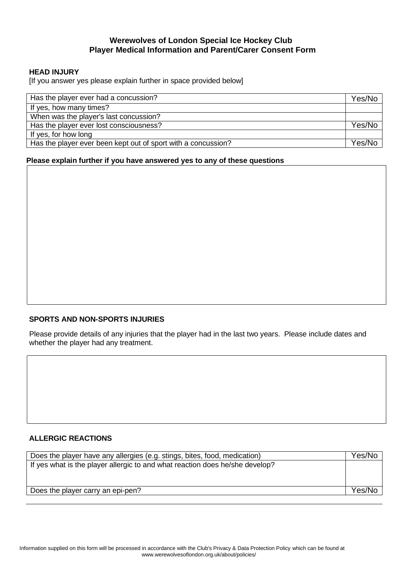# **Werewolves of London Special Ice Hockey Club Player Medical Information and Parent/Carer Consent Form**

#### **HEAD INJURY**

[If you answer yes please explain further in space provided below]

| Has the player ever had a concussion?                         | Yes/No |
|---------------------------------------------------------------|--------|
| If yes, how many times?                                       |        |
| When was the player's last concussion?                        |        |
| Has the player ever lost consciousness?                       | Yes/No |
| If yes, for how long                                          |        |
| Has the player ever been kept out of sport with a concussion? | Yes/No |

#### **Please explain further if you have answered yes to any of these questions**

### **SPORTS AND NON-SPORTS INJURIES**

Please provide details of any injuries that the player had in the last two years. Please include dates and whether the player had any treatment.

### **ALLERGIC REACTIONS**

| Does the player have any allergies (e.g. stings, bites, food, medication)    |        |
|------------------------------------------------------------------------------|--------|
| If yes what is the player allergic to and what reaction does he/she develop? |        |
|                                                                              |        |
|                                                                              |        |
| Does the player carry an epi-pen?                                            | Yes/No |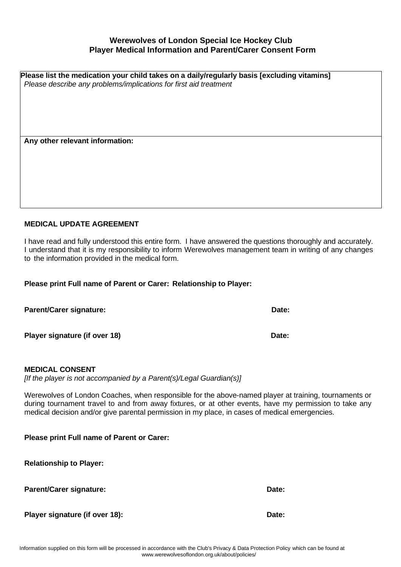# **Werewolves of London Special Ice Hockey Club Player Medical Information and Parent/Carer Consent Form**

**Please list the medication your child takes on a daily/regularly basis [excluding vitamins]** *Please describe any problems/implications for first aid treatment*

**Any other relevant information:**

### **MEDICAL UPDATE AGREEMENT**

I have read and fully understood this entire form. I have answered the questions thoroughly and accurately. I understand that it is my responsibility to inform Werewolves management team in writing of any changes to the information provided in the medical form.

### **Please print Full name of Parent or Carer: Relationship to Player:**

**Parent/Carer signature: Date:**

**Player signature (if over 18) Date:**

#### **MEDICAL CONSENT**

*[If the player is not accompanied by a Parent(s)/Legal Guardian(s)]*

Werewolves of London Coaches, when responsible for the above-named player at training, tournaments or during tournament travel to and from away fixtures, or at other events, have my permission to take any medical decision and/or give parental permission in my place, in cases of medical emergencies.

**Please print Full name of Parent or Carer: Relationship to Player: Parent/Carer signature: Date:**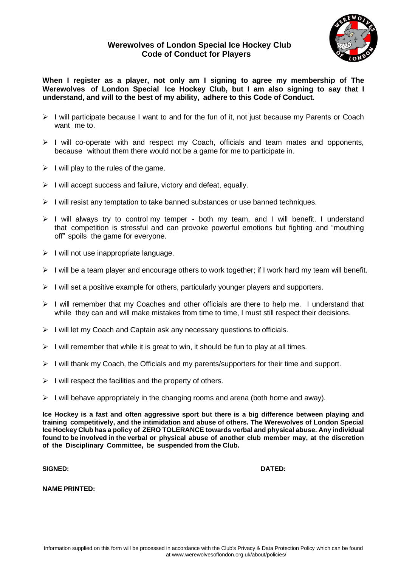# **Werewolves of London Special Ice Hockey Club Code of Conduct for Players**



**When I register as a player, not only am I signing to agree my membership of The Werewolves of London Special Ice Hockey Club, but I am also signing to say that I understand, and will to the best of my ability, adhere to this Code of Conduct.**

- $\triangleright$  I will participate because I want to and for the fun of it, not just because my Parents or Coach want me to.
- ➢ I will co-operate with and respect my Coach, officials and team mates and opponents, because without them there would not be a game for me to participate in.
- $\triangleright$  I will play to the rules of the game.
- $\triangleright$  I will accept success and failure, victory and defeat, equally.
- ➢ I will resist any temptation to take banned substances or use banned techniques.
- ➢ I will always try to control my temper both my team, and I will benefit. I understand that competition is stressful and can provoke powerful emotions but fighting and "mouthing off" spoils the game for everyone.
- $\triangleright$  I will not use inappropriate language.
- $\triangleright$  I will be a team player and encourage others to work together; if I work hard my team will benefit.
- $\triangleright$  I will set a positive example for others, particularly younger players and supporters.
- $\triangleright$  I will remember that my Coaches and other officials are there to help me. I understand that while they can and will make mistakes from time to time, I must still respect their decisions.
- ➢ I will let my Coach and Captain ask any necessary questions to officials.
- $\triangleright$  I will remember that while it is great to win, it should be fun to play at all times.
- ➢ I will thank my Coach, the Officials and my parents/supporters for their time and support.
- $\triangleright$  I will respect the facilities and the property of others.
- $\triangleright$  I will behave appropriately in the changing rooms and arena (both home and away).

**Ice Hockey is a fast and often aggressive sport but there is a big difference between playing and training competitively, and the intimidation and abuse of others. The Werewolves of London Special Ice Hockey Club has a policy of ZERO TOLERANCE towards verbal and physical abuse. Any individual found to be involved in the verbal or physical abuse of another club member may, at the discretion of the Disciplinary Committee, be suspended from the Club.**

**SIGNED: DATED:**

**NAME PRINTED:**